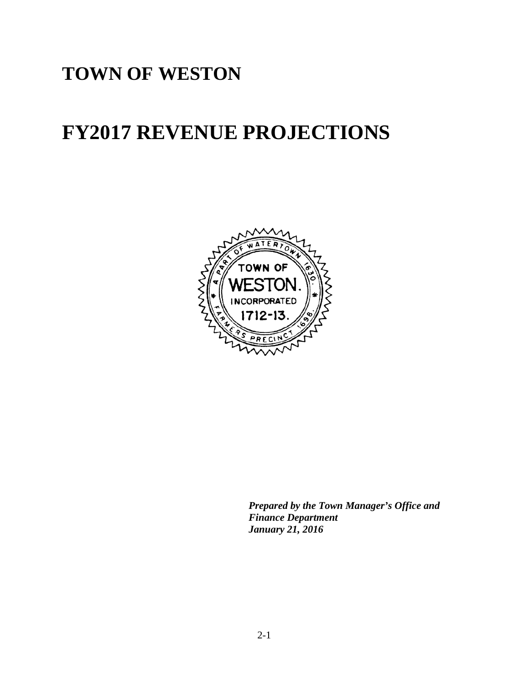# **TOWN OF WESTON**

# **FY2017 REVENUE PROJECTIONS**



*Prepared by the Town Manager's Office and Finance Department January 21, 2016*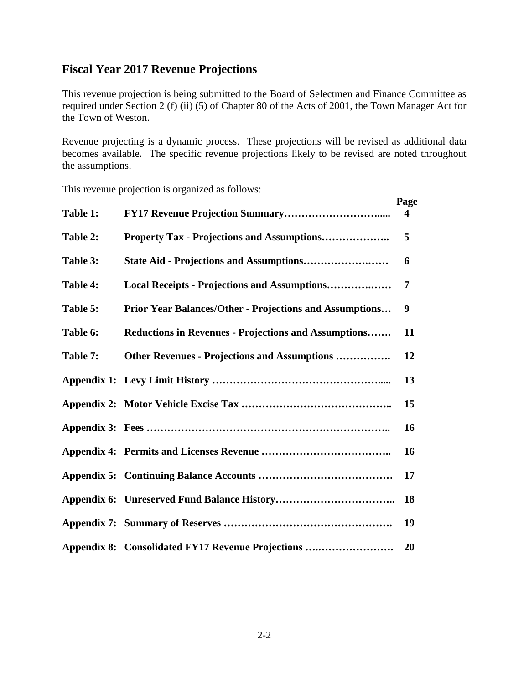#### **Fiscal Year 2017 Revenue Projections**

This revenue projection is being submitted to the Board of Selectmen and Finance Committee as required under Section 2 (f) (ii) (5) of Chapter 80 of the Acts of 2001, the Town Manager Act for the Town of Weston.

Revenue projecting is a dynamic process. These projections will be revised as additional data becomes available. The specific revenue projections likely to be revised are noted throughout the assumptions.

This revenue projection is organized as follows:

|          |                                                             | Page      |
|----------|-------------------------------------------------------------|-----------|
| Table 1: |                                                             | 4         |
| Table 2: |                                                             | 5         |
| Table 3: |                                                             | 6         |
| Table 4: | Local Receipts - Projections and Assumptions                | 7         |
| Table 5: | Prior Year Balances/Other - Projections and Assumptions     | 9         |
| Table 6: | <b>Reductions in Revenues - Projections and Assumptions</b> | 11        |
| Table 7: | Other Revenues - Projections and Assumptions                | 12        |
|          |                                                             | 13        |
|          |                                                             | 15        |
|          |                                                             | <b>16</b> |
|          |                                                             | 16        |
|          |                                                             | 17        |
|          |                                                             | 18        |
|          |                                                             | 19        |
|          | Appendix 8: Consolidated FY17 Revenue Projections           | 20        |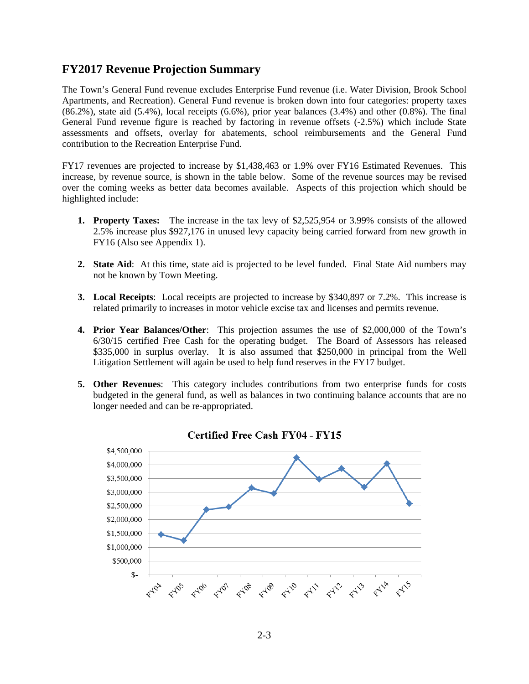#### **FY2017 Revenue Projection Summary**

The Town's General Fund revenue excludes Enterprise Fund revenue (i.e. Water Division, Brook School Apartments, and Recreation). General Fund revenue is broken down into four categories: property taxes  $(86.2\%)$ , state aid  $(5.4\%)$ , local receipts  $(6.6\%)$ , prior year balances  $(3.4\%)$  and other  $(0.8\%)$ . The final General Fund revenue figure is reached by factoring in revenue offsets (-2.5%) which include State assessments and offsets, overlay for abatements, school reimbursements and the General Fund contribution to the Recreation Enterprise Fund.

FY17 revenues are projected to increase by \$1,438,463 or 1.9% over FY16 Estimated Revenues. This increase, by revenue source, is shown in the table below. Some of the revenue sources may be revised over the coming weeks as better data becomes available. Aspects of this projection which should be highlighted include:

- **1. Property Taxes:** The increase in the tax levy of \$2,525,954 or 3.99% consists of the allowed 2.5% increase plus \$927,176 in unused levy capacity being carried forward from new growth in FY16 (Also see Appendix 1).
- **2. State Aid**: At this time, state aid is projected to be level funded. Final State Aid numbers may not be known by Town Meeting.
- **3. Local Receipts**: Local receipts are projected to increase by \$340,897 or 7.2%. This increase is related primarily to increases in motor vehicle excise tax and licenses and permits revenue.
- **4. Prior Year Balances/Other**: This projection assumes the use of \$2,000,000 of the Town's 6/30/15 certified Free Cash for the operating budget. The Board of Assessors has released \$335,000 in surplus overlay. It is also assumed that \$250,000 in principal from the Well Litigation Settlement will again be used to help fund reserves in the FY17 budget.
- **5. Other Revenues**: This category includes contributions from two enterprise funds for costs budgeted in the general fund, as well as balances in two continuing balance accounts that are no longer needed and can be re-appropriated.

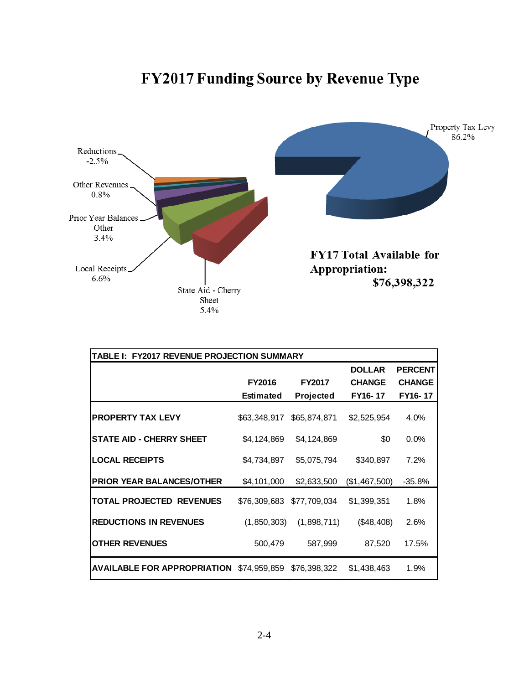# **FY2017 Funding Source by Revenue Type**



| TABLE I: FY2017 REVENUE PROJECTION SUMMARY      |                  |               |               |                |  |  |  |  |  |  |  |
|-------------------------------------------------|------------------|---------------|---------------|----------------|--|--|--|--|--|--|--|
|                                                 |                  |               | <b>DOLLAR</b> | <b>PERCENT</b> |  |  |  |  |  |  |  |
|                                                 | <b>FY2016</b>    | <b>FY2017</b> | <b>CHANGE</b> | <b>CHANGE</b>  |  |  |  |  |  |  |  |
|                                                 | <b>Estimated</b> | Projected     | FY16-17       | FY16-17        |  |  |  |  |  |  |  |
| <b>PROPERTY TAX LEVY</b>                        | \$63,348,917     | \$65,874,871  | \$2,525,954   | 4.0%           |  |  |  |  |  |  |  |
| <b>STATE AID - CHERRY SHEET</b>                 | \$4,124,869      | \$4,124,869   | \$0           | $0.0\%$        |  |  |  |  |  |  |  |
| <b>LOCAL RECEIPTS</b>                           | \$4,734,897      | \$5,075,794   | \$340,897     | 7.2%           |  |  |  |  |  |  |  |
| <b>PRIOR YEAR BALANCES/OTHER</b>                | \$4,101,000      | \$2,633,500   | (\$1,467,500) | $-35.8%$       |  |  |  |  |  |  |  |
| <b>TOTAL PROJECTED REVENUES</b>                 | \$76,309,683     | \$77,709,034  | \$1,399,351   | 1.8%           |  |  |  |  |  |  |  |
| <b>REDUCTIONS IN REVENUES</b>                   | (1,850,303)      | (1,898,711)   | (\$48,408)    | 2.6%           |  |  |  |  |  |  |  |
| <b>OTHER REVENUES</b>                           | 500,479          | 587,999       | 87,520        | 17.5%          |  |  |  |  |  |  |  |
| <b>AVAILABLE FOR APPROPRIATION</b> \$74,959,859 |                  | \$76,398,322  | \$1,438,463   | 1.9%           |  |  |  |  |  |  |  |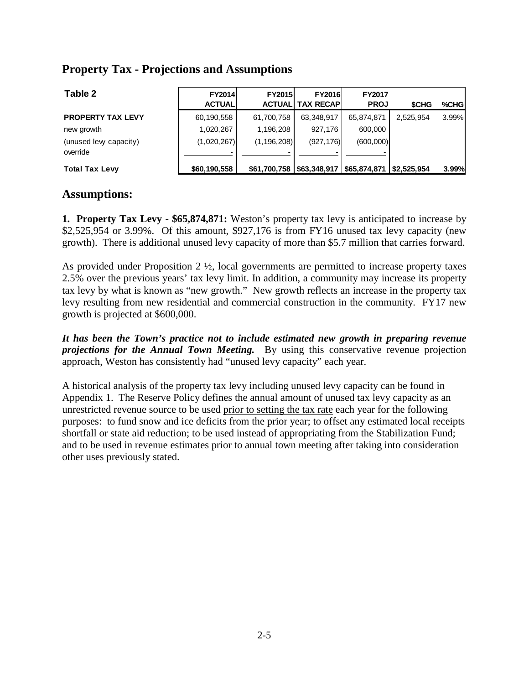#### **Property Tax - Projections and Assumptions**

| Table 2                            | <b>FY2014</b><br><b>ACTUAL</b> | <b>FY2015</b> | <b>FY2016</b><br><b>ACTUALI TAX RECAPI</b> | <b>FY2017</b><br><b>PROJ</b> | <b>SCHG</b> | %CHGI |
|------------------------------------|--------------------------------|---------------|--------------------------------------------|------------------------------|-------------|-------|
| <b>PROPERTY TAX LEVY</b>           | 60,190,558                     | 61,700,758    | 63,348,917                                 | 65,874,871                   | 2.525.954   | 3.99% |
| new growth                         | 1,020,267                      | 1.196.208     | 927.176                                    | 600,000                      |             |       |
| (unused levy capacity)<br>override | (1,020,267)                    | (1, 196, 208) | (927, 176)                                 | (600,000)                    |             |       |
| <b>Total Tax Levy</b>              | \$60,190,558                   |               | $$61,700,758$ $$63,348,917$ $$65,874,871$  |                              | S2.525.954  | 3.99% |

#### **Assumptions:**

**1. Property Tax Levy - \$65,874,871:** Weston's property tax levy is anticipated to increase by \$2,525,954 or 3.99%. Of this amount, \$927,176 is from FY16 unused tax levy capacity (new growth). There is additional unused levy capacity of more than \$5.7 million that carries forward.

As provided under Proposition  $2 \frac{1}{2}$ , local governments are permitted to increase property taxes 2.5% over the previous years' tax levy limit. In addition, a community may increase its property tax levy by what is known as "new growth." New growth reflects an increase in the property tax levy resulting from new residential and commercial construction in the community. FY17 new growth is projected at \$600,000.

*It has been the Town's practice not to include estimated new growth in preparing revenue projections for the Annual Town Meeting.* By using this conservative revenue projection approach, Weston has consistently had "unused levy capacity" each year.

A historical analysis of the property tax levy including unused levy capacity can be found in Appendix 1. The Reserve Policy defines the annual amount of unused tax levy capacity as an unrestricted revenue source to be used prior to setting the tax rate each year for the following purposes: to fund snow and ice deficits from the prior year; to offset any estimated local receipts shortfall or state aid reduction; to be used instead of appropriating from the Stabilization Fund; and to be used in revenue estimates prior to annual town meeting after taking into consideration other uses previously stated.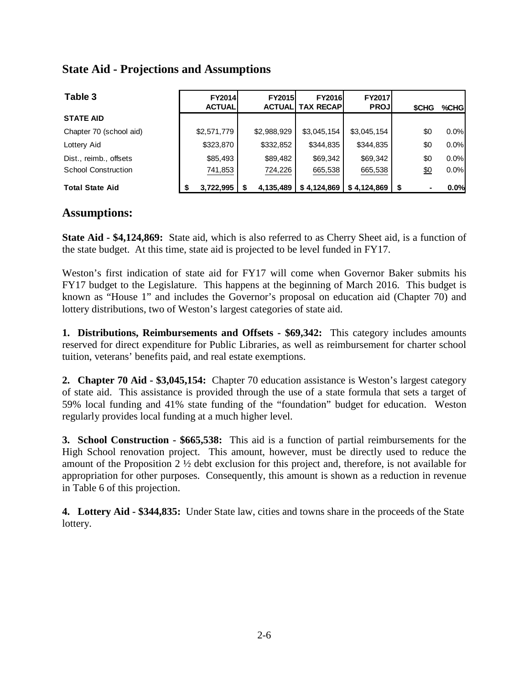#### **State Aid - Projections and Assumptions**

| Table 3                    | <b>FY2014</b><br><b>ACTUAL</b> | <b>FY2015</b><br><b>ACTUALI</b> | <b>FY2016</b><br>TAX RECAP! | <b>FY2017</b><br><b>PROJ</b> | <b>SCHG</b> | %CHG |
|----------------------------|--------------------------------|---------------------------------|-----------------------------|------------------------------|-------------|------|
| <b>STATE AID</b>           |                                |                                 |                             |                              |             |      |
| Chapter 70 (school aid)    | \$2,571,779                    | \$2,988,929                     | \$3,045,154                 | \$3,045,154                  | \$0         | 0.0% |
| Lottery Aid                | \$323,870                      | \$332,852                       | \$344,835                   | \$344,835                    | \$0         | 0.0% |
| Dist., reimb., offsets     | \$85,493                       | \$89,482                        | \$69,342                    | \$69,342                     | \$0         | 0.0% |
| <b>School Construction</b> | 741,853                        | 724,226                         | 665,538                     | 665,538                      | \$0         | 0.0% |
| <b>Total State Aid</b>     | 3,722,995                      | 4.135.489                       | \$4.124.869                 | \$4.124.869                  | -\$         | 0.0% |

#### **Assumptions:**

**State Aid - \$4,124,869:** State aid, which is also referred to as Cherry Sheet aid, is a function of the state budget. At this time, state aid is projected to be level funded in FY17.

Weston's first indication of state aid for FY17 will come when Governor Baker submits his FY17 budget to the Legislature. This happens at the beginning of March 2016. This budget is known as "House 1" and includes the Governor's proposal on education aid (Chapter 70) and lottery distributions, two of Weston's largest categories of state aid.

**1. Distributions, Reimbursements and Offsets - \$69,342:** This category includes amounts reserved for direct expenditure for Public Libraries, as well as reimbursement for charter school tuition, veterans' benefits paid, and real estate exemptions.

**2. Chapter 70 Aid - \$3,045,154:** Chapter 70 education assistance is Weston's largest category of state aid. This assistance is provided through the use of a state formula that sets a target of 59% local funding and 41% state funding of the "foundation" budget for education. Weston regularly provides local funding at a much higher level.

**3. School Construction - \$665,538:** This aid is a function of partial reimbursements for the High School renovation project. This amount, however, must be directly used to reduce the amount of the Proposition 2 ½ debt exclusion for this project and, therefore, is not available for appropriation for other purposes. Consequently, this amount is shown as a reduction in revenue in Table 6 of this projection.

**4. Lottery Aid - \$344,835:** Under State law, cities and towns share in the proceeds of the State lottery.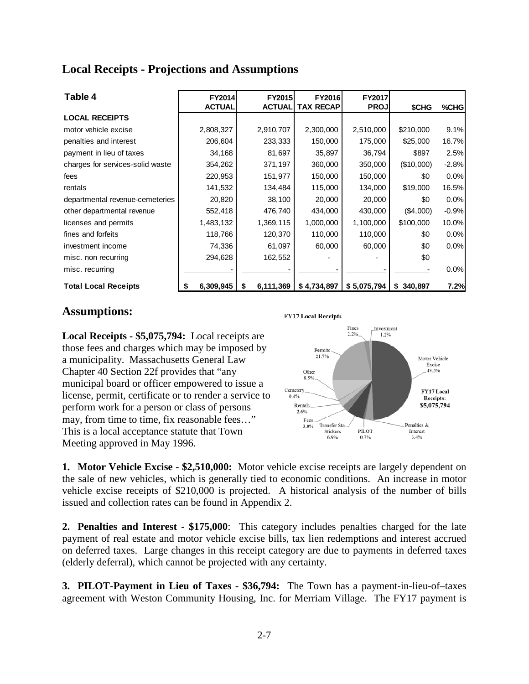#### **Local Receipts - Projections and Assumptions**

| Table 4                          | FY2014        | <b>FY2015</b>  | <b>FY2016</b>    | FY2017      |              |         |
|----------------------------------|---------------|----------------|------------------|-------------|--------------|---------|
|                                  | <b>ACTUAL</b> | <b>ACTUAL</b>  | <b>TAX RECAP</b> | <b>PROJ</b> | <b>\$CHG</b> | %CHG    |
| <b>LOCAL RECEIPTS</b>            |               |                |                  |             |              |         |
| motor vehicle excise             | 2,808,327     | 2,910,707      | 2,300,000        | 2,510,000   | \$210,000    | 9.1%    |
| penalties and interest           | 206,604       | 233,333        | 150,000          | 175,000     | \$25,000     | 16.7%   |
| payment in lieu of taxes         | 34,168        | 81,697         | 35,897           | 36,794      | \$897        | 2.5%    |
| charges for services-solid waste | 354,262       | 371,197        | 360,000          | 350,000     | (\$10,000)   | $-2.8%$ |
| fees                             | 220,953       | 151,977        | 150,000          | 150,000     | \$0          | 0.0%    |
| rentals                          | 141,532       | 134,484        | 115,000          | 134,000     | \$19,000     | 16.5%   |
| departmental revenue-cemeteries  | 20,820        | 38,100         | 20,000           | 20,000      | \$0          | 0.0%    |
| other departmental revenue       | 552,418       | 476,740        | 434,000          | 430,000     | (\$4,000)    | $-0.9%$ |
| licenses and permits             | 1,483,132     | 1,369,115      | 1,000,000        | 1,100,000   | \$100,000    | 10.0%   |
| fines and forfeits               | 118,766       | 120,370        | 110,000          | 110,000     | \$0          | 0.0%    |
| investment income                | 74,336        | 61,097         | 60,000           | 60,000      | \$0          | 0.0%    |
| misc. non recurring              | 294,628       | 162,552        |                  |             | \$0          |         |
| misc. recurring                  |               |                |                  |             |              | 0.0%    |
| <b>Total Local Receipts</b>      | 6,309,945     | 6,111,369<br>S | \$4,734,897      | \$5,075,794 | 340,897<br>S | 7.2%    |

#### **Assumptions:**

**Local Receipts - \$5,075,794:** Local receipts are those fees and charges which may be imposed by a municipality. Massachusetts General Law Chapter 40 Section 22f provides that "any municipal board or officer empowered to issue a license, permit, certificate or to render a service to perform work for a person or class of persons may, from time to time, fix reasonable fees…" This is a local acceptance statute that Town Meeting approved in May 1996.



**1. Motor Vehicle Excise - \$2,510,000:** Motor vehicle excise receipts are largely dependent on the sale of new vehicles, which is generally tied to economic conditions. An increase in motor vehicle excise receipts of \$210,000 is projected. A historical analysis of the number of bills issued and collection rates can be found in Appendix 2.

**2. Penalties and Interest - \$175,000**: This category includes penalties charged for the late payment of real estate and motor vehicle excise bills, tax lien redemptions and interest accrued on deferred taxes. Large changes in this receipt category are due to payments in deferred taxes (elderly deferral), which cannot be projected with any certainty.

**3. PILOT-Payment in Lieu of Taxes - \$36,794:** The Town has a payment-in-lieu-of–taxes agreement with Weston Community Housing, Inc. for Merriam Village. The FY17 payment is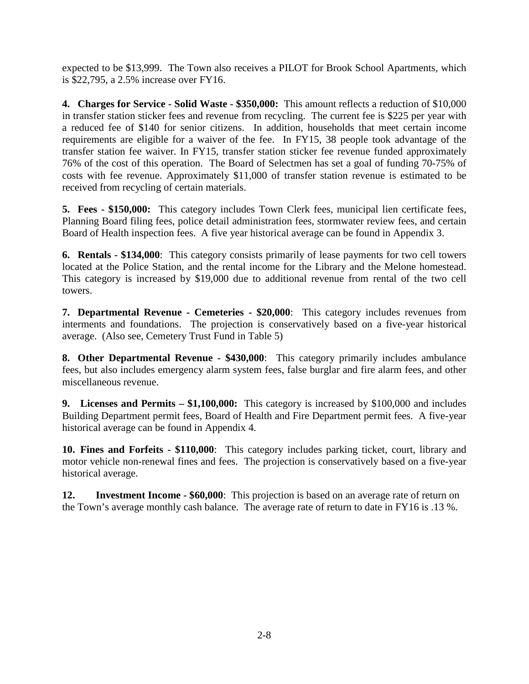expected to be \$13,999. The Town also receives a PILOT for Brook School Apartments, which is \$22,795, a 2.5% increase over FY16.

**4. Charges for Service - Solid Waste - \$350,000:** This amount reflects a reduction of \$10,000 in transfer station sticker fees and revenue from recycling. The current fee is \$225 per year with a reduced fee of \$140 for senior citizens. In addition, households that meet certain income requirements are eligible for a waiver of the fee. In FY15, 38 people took advantage of the transfer station fee waiver. In FY15, transfer station sticker fee revenue funded approximately 76% of the cost of this operation. The Board of Selectmen has set a goal of funding 70-75% of costs with fee revenue. Approximately \$11,000 of transfer station revenue is estimated to be received from recycling of certain materials.

**5. Fees - \$150,000:** This category includes Town Clerk fees, municipal lien certificate fees, Planning Board filing fees, police detail administration fees, stormwater review fees, and certain Board of Health inspection fees. A five year historical average can be found in Appendix 3.

**6. Rentals - \$134,000**: This category consists primarily of lease payments for two cell towers located at the Police Station, and the rental income for the Library and the Melone homestead. This category is increased by \$19,000 due to additional revenue from rental of the two cell towers.

**7. Departmental Revenue - Cemeteries - \$20,000**: This category includes revenues from interments and foundations. The projection is conservatively based on a five-year historical average. (Also see, Cemetery Trust Fund in Table 5)

**8. Other Departmental Revenue - \$430,000**: This category primarily includes ambulance fees, but also includes emergency alarm system fees, false burglar and fire alarm fees, and other miscellaneous revenue.

**9. Licenses and Permits – \$1,100,000:** This category is increased by \$100,000 and includes Building Department permit fees, Board of Health and Fire Department permit fees. A five-year historical average can be found in Appendix 4.

**10. Fines and Forfeits - \$110,000**: This category includes parking ticket, court, library and motor vehicle non-renewal fines and fees. The projection is conservatively based on a five-year historical average.

**12. Investment Income - \$60,000**: This projection is based on an average rate of return on the Town's average monthly cash balance. The average rate of return to date in FY16 is .13 %.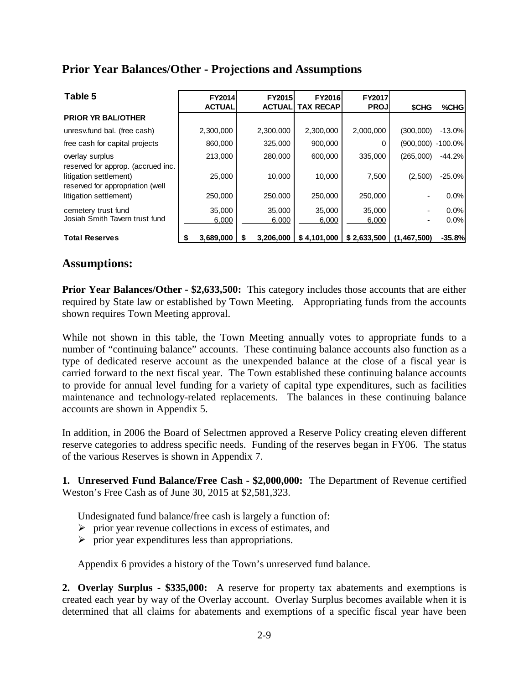#### **Prior Year Balances/Other - Projections and Assumptions**

| Table 5                                                    | <b>FY2014</b><br><b>ACTUAL</b> | <b>FY2015</b><br><b>ACTUAL</b> | <b>FY2016</b><br><b>TAX RECAP</b> | <b>FY2017</b><br><b>PROJ</b> | <b>SCHG</b> | %CHG         |
|------------------------------------------------------------|--------------------------------|--------------------------------|-----------------------------------|------------------------------|-------------|--------------|
| <b>PRIOR YR BAL/OTHER</b>                                  |                                |                                |                                   |                              |             |              |
| unresv.fund bal. (free cash)                               | 2,300,000                      | 2,300,000                      | 2,300,000                         | 2,000,000                    | (300,000)   | $-13.0%$     |
| free cash for capital projects                             | 860,000                        | 325,000                        | 900,000                           |                              | (900,000)   | $-100.0\%$   |
| overlay surplus<br>reserved for approp. (accrued inc.      | 213,000                        | 280,000                        | 600,000                           | 335.000                      | (265,000)   | $-44.2%$     |
| litigation settlement)<br>reserved for appropriation (well | 25,000                         | 10,000                         | 10.000                            | 7,500                        | (2,500)     | $-25.0%$     |
| litigation settlement)                                     | 250,000                        | 250,000                        | 250,000                           | 250,000                      |             | 0.0%         |
| cemetery trust fund<br>Josiah Smith Tavern trust fund      | 35,000<br>6,000                | 35,000<br>6,000                | 35,000<br>6,000                   | 35,000<br>6,000              |             | 0.0%<br>0.0% |
| <b>Total Reserves</b>                                      | 3,689,000                      | 3,206,000                      | \$4,101,000                       | \$2,633,500                  | (1,467,500) | $-35.8%$     |

#### **Assumptions:**

**Prior Year Balances/Other - \$2,633,500:** This category includes those accounts that are either required by State law or established by Town Meeting. Appropriating funds from the accounts shown requires Town Meeting approval.

While not shown in this table, the Town Meeting annually votes to appropriate funds to a number of "continuing balance" accounts. These continuing balance accounts also function as a type of dedicated reserve account as the unexpended balance at the close of a fiscal year is carried forward to the next fiscal year. The Town established these continuing balance accounts to provide for annual level funding for a variety of capital type expenditures, such as facilities maintenance and technology-related replacements. The balances in these continuing balance accounts are shown in Appendix 5.

In addition, in 2006 the Board of Selectmen approved a Reserve Policy creating eleven different reserve categories to address specific needs. Funding of the reserves began in FY06. The status of the various Reserves is shown in Appendix 7.

**1. Unreserved Fund Balance/Free Cash - \$2,000,000:** The Department of Revenue certified Weston's Free Cash as of June 30, 2015 at \$2,581,323.

Undesignated fund balance/free cash is largely a function of:

- $\triangleright$  prior year revenue collections in excess of estimates, and
- $\triangleright$  prior year expenditures less than appropriations.

Appendix 6 provides a history of the Town's unreserved fund balance.

**2. Overlay Surplus - \$335,000:** A reserve for property tax abatements and exemptions is created each year by way of the Overlay account. Overlay Surplus becomes available when it is determined that all claims for abatements and exemptions of a specific fiscal year have been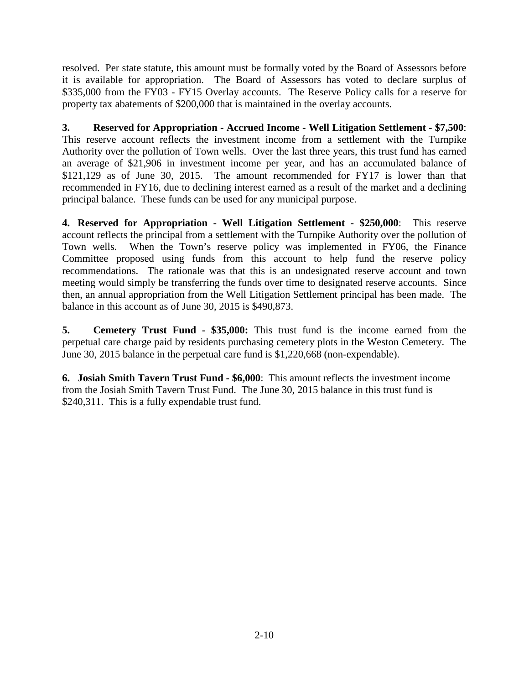resolved. Per state statute, this amount must be formally voted by the Board of Assessors before it is available for appropriation. The Board of Assessors has voted to declare surplus of \$335,000 from the FY03 - FY15 Overlay accounts. The Reserve Policy calls for a reserve for property tax abatements of \$200,000 that is maintained in the overlay accounts.

**3. Reserved for Appropriation - Accrued Income - Well Litigation Settlement - \$7,500**: This reserve account reflects the investment income from a settlement with the Turnpike Authority over the pollution of Town wells. Over the last three years, this trust fund has earned an average of \$21,906 in investment income per year, and has an accumulated balance of \$121,129 as of June 30, 2015. The amount recommended for FY17 is lower than that recommended in FY16, due to declining interest earned as a result of the market and a declining principal balance. These funds can be used for any municipal purpose.

**4. Reserved for Appropriation - Well Litigation Settlement - \$250,000**: This reserve account reflects the principal from a settlement with the Turnpike Authority over the pollution of Town wells. When the Town's reserve policy was implemented in FY06, the Finance Committee proposed using funds from this account to help fund the reserve policy recommendations. The rationale was that this is an undesignated reserve account and town meeting would simply be transferring the funds over time to designated reserve accounts. Since then, an annual appropriation from the Well Litigation Settlement principal has been made. The balance in this account as of June 30, 2015 is \$490,873.

**5. Cemetery Trust Fund - \$35,000:** This trust fund is the income earned from the perpetual care charge paid by residents purchasing cemetery plots in the Weston Cemetery. The June 30, 2015 balance in the perpetual care fund is \$1,220,668 (non-expendable).

**6. Josiah Smith Tavern Trust Fund - \$6,000**: This amount reflects the investment income from the Josiah Smith Tavern Trust Fund. The June 30, 2015 balance in this trust fund is \$240,311. This is a fully expendable trust fund.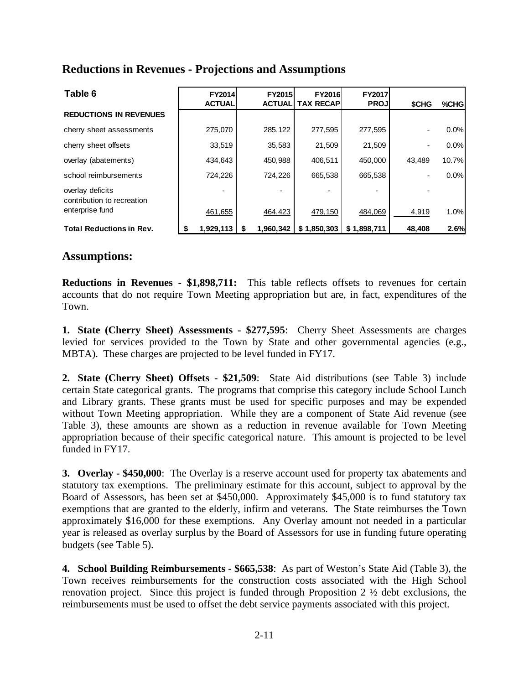#### **Reductions in Revenues - Projections and Assumptions**

| Table 6                                        | <b>FY2014</b><br><b>ACTUAL</b> | FY2015<br><b>ACTUALI</b> | <b>FY2016</b><br><b>TAX RECAPI</b> | <b>FY2017</b><br><b>PROJ</b> | <b>SCHG</b>              | %CHG  |
|------------------------------------------------|--------------------------------|--------------------------|------------------------------------|------------------------------|--------------------------|-------|
| <b>REDUCTIONS IN REVENUES</b>                  |                                |                          |                                    |                              |                          |       |
| cherry sheet assessments                       | 275,070                        | 285,122                  | 277,595                            | 277,595                      | $\overline{\phantom{a}}$ | 0.0%  |
| cherry sheet offsets                           | 33,519                         | 35,583                   | 21.509                             | 21,509                       |                          | 0.0%  |
| overlay (abatements)                           | 434,643                        | 450,988                  | 406,511                            | 450,000                      | 43.489                   | 10.7% |
| school reimbursements                          | 724,226                        | 724.226                  | 665,538                            | 665,538                      |                          | 0.0%  |
| overlay deficits<br>contribution to recreation |                                |                          |                                    |                              |                          |       |
| enterprise fund                                | 461,655                        | 464,423                  | 479,150                            | 484,069                      | 4,919                    | 1.0%  |
| <b>Total Reductions in Rev.</b>                | 1,929,113                      | 1.960.342<br>S           | \$1,850,303                        | \$1,898,711                  | 48,408                   | 2.6%  |

#### **Assumptions:**

**Reductions in Revenues - \$1,898,711:** This table reflects offsets to revenues for certain accounts that do not require Town Meeting appropriation but are, in fact, expenditures of the Town.

**1. State (Cherry Sheet) Assessments - \$277,595**: Cherry Sheet Assessments are charges levied for services provided to the Town by State and other governmental agencies (e.g., MBTA). These charges are projected to be level funded in FY17.

**2. State (Cherry Sheet) Offsets - \$21,509**: State Aid distributions (see Table 3) include certain State categorical grants. The programs that comprise this category include School Lunch and Library grants. These grants must be used for specific purposes and may be expended without Town Meeting appropriation. While they are a component of State Aid revenue (see Table 3), these amounts are shown as a reduction in revenue available for Town Meeting appropriation because of their specific categorical nature. This amount is projected to be level funded in FY17.

**3. Overlay - \$450,000**: The Overlay is a reserve account used for property tax abatements and statutory tax exemptions. The preliminary estimate for this account, subject to approval by the Board of Assessors, has been set at \$450,000. Approximately \$45,000 is to fund statutory tax exemptions that are granted to the elderly, infirm and veterans. The State reimburses the Town approximately \$16,000 for these exemptions. Any Overlay amount not needed in a particular year is released as overlay surplus by the Board of Assessors for use in funding future operating budgets (see Table 5).

**4. School Building Reimbursements - \$665,538**: As part of Weston's State Aid (Table 3), the Town receives reimbursements for the construction costs associated with the High School renovation project. Since this project is funded through Proposition 2 ½ debt exclusions, the reimbursements must be used to offset the debt service payments associated with this project.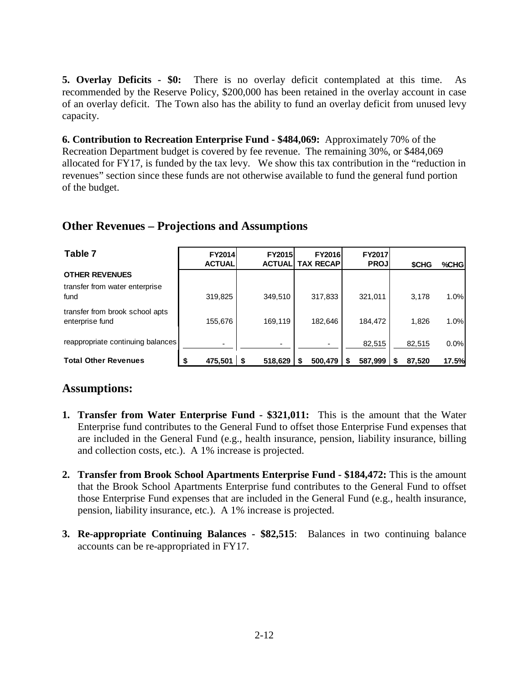**5. Overlay Deficits - \$0:** There is no overlay deficit contemplated at this time. As recommended by the Reserve Policy, \$200,000 has been retained in the overlay account in case of an overlay deficit. The Town also has the ability to fund an overlay deficit from unused levy capacity.

**6. Contribution to Recreation Enterprise Fund - \$484,069:** Approximately 70% of the Recreation Department budget is covered by fee revenue. The remaining 30%, or \$484,069 allocated for FY17, is funded by the tax levy. We show this tax contribution in the "reduction in revenues" section since these funds are not otherwise available to fund the general fund portion of the budget.

#### **Other Revenues – Projections and Assumptions**

| Table 7                                            | <b>FY2014</b><br><b>ACTUAL</b> | <b>FY2015</b><br><b>ACTUALI</b> | <b>FY2016</b><br><b>TAX RECAPI</b> | <b>FY2017</b><br><b>PROJ</b> | <b>SCHG</b> | %CHG  |
|----------------------------------------------------|--------------------------------|---------------------------------|------------------------------------|------------------------------|-------------|-------|
| <b>OTHER REVENUES</b>                              |                                |                                 |                                    |                              |             |       |
| transfer from water enterprise<br>fund             | 319,825                        | 349,510                         | 317,833                            | 321.011                      | 3.178       | 1.0%  |
| transfer from brook school apts<br>enterprise fund | 155,676                        | 169,119                         | 182,646                            | 184,472                      | 1,826       | 1.0%  |
| reappropriate continuing balances                  |                                |                                 |                                    | 82,515                       | 82,515      | 0.0%  |
| <b>Total Other Revenues</b>                        | 475,501                        | 518,629                         | 500,479                            | 587,999                      | 87,520      | 17.5% |

### **Assumptions:**

- **1. Transfer from Water Enterprise Fund - \$321,011:** This is the amount that the Water Enterprise fund contributes to the General Fund to offset those Enterprise Fund expenses that are included in the General Fund (e.g., health insurance, pension, liability insurance, billing and collection costs, etc.). A 1% increase is projected.
- **2. Transfer from Brook School Apartments Enterprise Fund - \$184,472:** This is the amount that the Brook School Apartments Enterprise fund contributes to the General Fund to offset those Enterprise Fund expenses that are included in the General Fund (e.g., health insurance, pension, liability insurance, etc.). A 1% increase is projected.
- **3. Re-appropriate Continuing Balances - \$82,515**: Balances in two continuing balance accounts can be re-appropriated in FY17.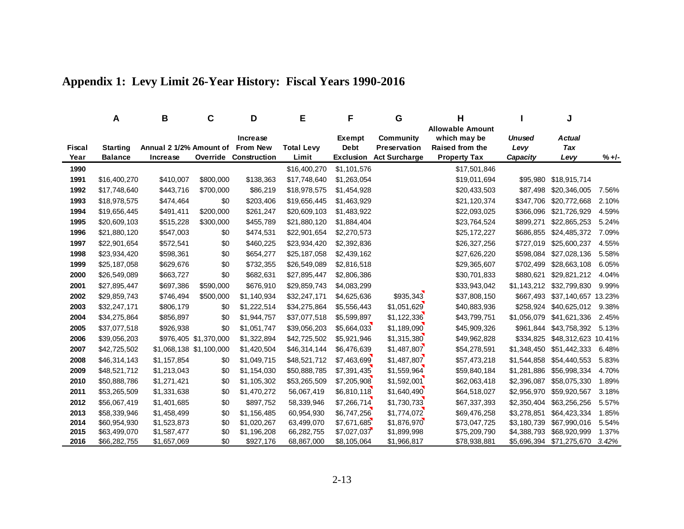|              | A                            | В                       | С                       | D                                  | Е                            | F                          | G                                | н                                                          |                        | J                            |                |
|--------------|------------------------------|-------------------------|-------------------------|------------------------------------|------------------------------|----------------------------|----------------------------------|------------------------------------------------------------|------------------------|------------------------------|----------------|
| Fiscal       | <b>Starting</b>              | Annual 2 1/2% Amount of |                         | <b>Increase</b><br><b>From New</b> | <b>Total Levy</b>            | Exempt<br><b>Debt</b>      | <b>Community</b><br>Preservation | <b>Allowable Amount</b><br>which may be<br>Raised from the | <b>Unused</b><br>Levy  | <b>Actual</b><br><b>Tax</b>  |                |
| Year         | <b>Balance</b>               | Increase                |                         | <b>Override Construction</b>       | Limit                        | <b>Exclusion</b>           | <b>Act Surcharge</b>             | <b>Property Tax</b>                                        | Capacity               | Levy                         | $% +/-$        |
| 1990         |                              |                         |                         |                                    | \$16,400,270                 | \$1,101,576                |                                  | \$17,501,846                                               |                        |                              |                |
| 1991         | \$16,400,270                 | \$410,007               | \$800,000               | \$138,363                          | \$17,748,640                 | \$1,263,054                |                                  | \$19,011,694                                               | \$95,980               | \$18,915,714                 |                |
| 1992         | \$17,748,640                 | \$443,716               | \$700,000               | \$86,219                           | \$18,978,575                 | \$1,454,928                |                                  | \$20,433,503                                               | \$87,498               | \$20,346,005                 | 7.56%          |
| 1993         | \$18,978,575                 | \$474,464               | \$0                     | \$203,406                          | \$19,656,445                 | \$1,463,929                |                                  | \$21,120,374                                               | \$347,706              | \$20,772,668                 | 2.10%          |
| 1994         | \$19,656,445                 | \$491,411               | \$200,000               | \$261,247                          | \$20,609,103                 | \$1,483,922                |                                  | \$22,093,025                                               | \$366,096              | \$21,726,929                 | 4.59%          |
| 1995<br>1996 | \$20,609,103<br>\$21,880,120 | \$515,228<br>\$547,003  | \$300,000<br>\$0        | \$455,789<br>\$474,531             | \$21,880,120<br>\$22,901,654 | \$1,884,404<br>\$2,270,573 |                                  | \$23,764,524<br>\$25,172,227                               | \$899,271<br>\$686,855 | \$22,865,253<br>\$24,485,372 | 5.24%<br>7.09% |
| 1997         | \$22,901,654                 | \$572,541               | \$0                     | \$460,225                          | \$23,934,420                 | \$2,392,836                |                                  | \$26,327,256                                               | \$727,019              | \$25,600,237                 | 4.55%          |
| 1998         | \$23,934,420                 | \$598,361               | \$0                     | \$654,277                          | \$25,187,058                 | \$2,439,162                |                                  | \$27,626,220                                               | \$598,084              | \$27,028,136                 | 5.58%          |
| 1999         | \$25,187,058                 | \$629,676               | \$0                     | \$732,355                          | \$26,549,089                 | \$2,816,518                |                                  | \$29,365,607                                               | \$702,499              | \$28,663,108                 | 6.05%          |
| 2000         | \$26,549,089                 | \$663,727               | \$0                     | \$682,631                          | \$27,895,447                 | \$2,806,386                |                                  | \$30,701,833                                               | \$880,621              | \$29,821,212                 | 4.04%          |
| 2001         | \$27,895,447                 | \$697,386               | \$590,000               | \$676,910                          | \$29,859,743                 | \$4,083,299                |                                  | \$33,943,042                                               | \$1,143,212            | \$32,799,830                 | 9.99%          |
| 2002         | \$29,859,743                 | \$746,494               | \$500,000               | \$1,140,934                        | \$32,247,171                 | \$4,625,636                | \$935,343                        | \$37,808,150                                               | \$667,493              | \$37,140,657 13.23%          |                |
| 2003         | \$32,247,171                 | \$806,179               | \$0                     | \$1,222,514                        | \$34,275,864                 | \$5,556,443                | \$1,051,629                      | \$40,883,936                                               | \$258,924              | \$40,625,012                 | 9.38%          |
| 2004         | \$34,275,864                 | \$856,897               | \$0                     | \$1,944,757                        | \$37,077,518                 | \$5,599,897                | \$1,122,336                      | \$43,799,751                                               | \$1,056,079            | \$41,621,336                 | 2.45%          |
| 2005         | \$37,077,518                 | \$926,938               | \$0                     | \$1,051,747                        | \$39,056,203                 | \$5,664,033                | \$1,189,090                      | \$45,909,326                                               | \$961.844              | \$43,758,392                 | 5.13%          |
| 2006         | \$39,056,203                 |                         | \$976,405 \$1,370,000   | \$1,322,894                        | \$42,725,502                 | \$5,921,946                | \$1,315,380                      | \$49,962,828                                               | \$334,825              | \$48,312,623 10.41%          |                |
| 2007         | \$42,725,502                 |                         | \$1,068,138 \$1,100,000 | \$1,420,504                        | \$46,314,144                 | \$6,476,639                | \$1,487,807                      | \$54,278,591                                               | \$1,348,450            | \$51,442,333                 | 6.48%          |
| 2008         | \$46,314,143                 | \$1,157,854             | \$0                     | \$1,049,715                        | \$48,521,712                 | \$7,463,699                | \$1,487,807                      | \$57,473,218                                               | \$1,544,858            | \$54,440,553                 | 5.83%          |
| 2009         | \$48,521,712                 | \$1,213,043             | \$0                     | \$1,154,030                        | \$50,888,785                 | \$7,391,435                | \$1,559,964                      | \$59,840,184                                               | \$1,281,886            | \$56,998,334                 | 4.70%          |
| 2010         | \$50,888,786                 | \$1,271,421             | \$0                     | \$1,105,302                        | \$53,265,509                 | \$7,205,908                | \$1,592,001                      | \$62,063,418                                               | \$2,396,087            | \$58,075,330                 | 1.89%          |
| 2011         | \$53,265,509                 | \$1,331,638             | \$0                     | \$1,470,272                        | 56,067,419                   | \$6,810,118                | \$1,640,490                      | \$64,518,027                                               | \$2,956,970            | \$59,920,567                 | 3.18%          |
| 2012         | \$56,067,419                 | \$1,401,685             | \$0                     | \$897,752                          | 58,339,946                   | \$7,266,714                | \$1,730,733                      | \$67,337,393                                               | \$2,350,404            | \$63,256,256                 | 5.57%          |
| 2013         | \$58,339,946                 | \$1,458,499             | \$0                     | \$1,156,485                        | 60,954,930                   | \$6,747,256                | \$1,774,072                      | \$69,476,258                                               | \$3,278,851            | \$64,423,334                 | 1.85%          |
| 2014         | \$60,954,930                 | \$1,523,873             | \$0                     | \$1,020,267                        | 63,499,070                   | \$7,671,685                | \$1,876,970                      | \$73,047,725                                               | \$3,180,739            | \$67,990,016                 | 5.54%          |
| 2015         | \$63,499,070                 | \$1,587,477             | \$0                     | \$1,196,208                        | 66,282,755                   | \$7,027,037                | \$1,899,998                      | \$75,209,790                                               | \$4,388,793            | \$68,920,999                 | 1.37%          |
| 2016         | \$66,282,755                 | \$1,657,069             | \$0                     | \$927,176                          | 68,867,000                   | \$8,105,064                | \$1,966,817                      | \$78,938,881                                               | \$5,696,394            | \$71,275,670                 | 3.42%          |

### **Appendix 1: Levy Limit 26-Year History: Fiscal Years 1990-2016**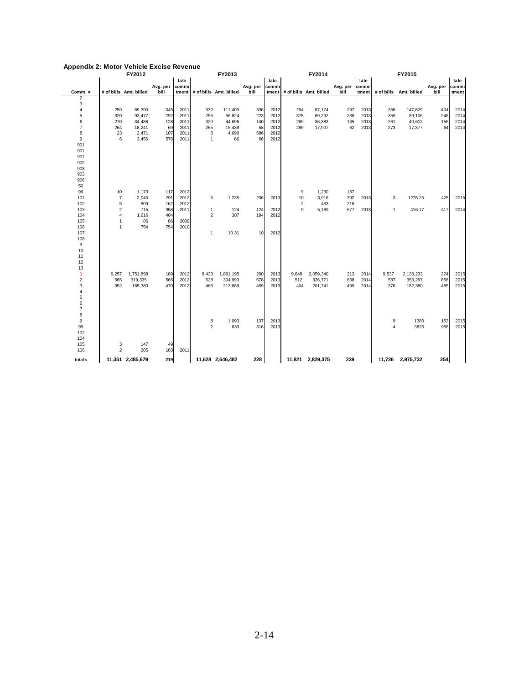| Appendix 2: Motor venicle excise Revenue |                         |                        |           |              |                |                              |                |              |                         |                              |          |       |                |                        |          |       |
|------------------------------------------|-------------------------|------------------------|-----------|--------------|----------------|------------------------------|----------------|--------------|-------------------------|------------------------------|----------|-------|----------------|------------------------|----------|-------|
|                                          |                         | FY2012                 |           |              |                | FY2013                       |                |              |                         | FY2014                       |          |       |                | FY2015                 |          |       |
|                                          |                         |                        |           | late         |                |                              |                | late         |                         |                              |          | late  |                |                        |          | late  |
|                                          |                         |                        | Avg. per  | commi        |                |                              | Avg. per commi |              |                         |                              | Avg. per | commi |                |                        | Avg. per | commi |
| Comm.#                                   |                         | # of bills Amt. billed | bill      |              |                | tment # of bills Amt. billed | bill           |              |                         | tment # of bills Amt. billed | bill     | tment |                | # of bills Amt. billed | bill     | tment |
| $\overline{2}$                           |                         |                        |           |              |                |                              |                |              |                         |                              |          |       |                |                        |          |       |
| 3                                        |                         |                        |           |              |                |                              |                |              |                         |                              |          |       |                |                        |          |       |
| 4                                        | 259                     | 89,390                 | 345       | 2011         | 332            | 111,409                      | 336            | 2012         | 294                     | 87,174                       | 297      | 2013  | 366            | 147,829                | 404      | 2014  |
| 5                                        | 320                     | 93,477                 | 292       | 2011         | 255            | 56,824                       | 223            | 2012         | 375                     | 89,292                       | 238      | 2013  | 359            | 89,106                 | 248      | 2014  |
| 6                                        | 270                     | 34,486                 | 128       | 2011         | 320            | 44,696                       | 140            | 2012         | 269                     | 36,383                       | 135      | 2013  | 261            | 40,612                 | 156      | 2014  |
| $\overline{7}$<br>8                      | 264                     | 18,241<br>2,471        | 69<br>107 | 2011<br>2011 | 265<br>8       | 15,439<br>4,690              | 58             | 2012<br>2012 | 289                     | 17,907                       | 62       | 2013  | 273            | 17,377                 | 64       | 2014  |
|                                          | 23<br>6                 |                        |           |              | $\mathbf{1}$   |                              | 586            |              |                         |                              |          |       |                |                        |          |       |
| 9<br>901                                 |                         | 3,456                  | 576       | 2011         |                | 66                           | 66             | 2012         |                         |                              |          |       |                |                        |          |       |
| 901                                      |                         |                        |           |              |                |                              |                |              |                         |                              |          |       |                |                        |          |       |
| 901                                      |                         |                        |           |              |                |                              |                |              |                         |                              |          |       |                |                        |          |       |
| 902                                      |                         |                        |           |              |                |                              |                |              |                         |                              |          |       |                |                        |          |       |
| 903                                      |                         |                        |           |              |                |                              |                |              |                         |                              |          |       |                |                        |          |       |
| 903                                      |                         |                        |           |              |                |                              |                |              |                         |                              |          |       |                |                        |          |       |
| 906                                      |                         |                        |           |              |                |                              |                |              |                         |                              |          |       |                |                        |          |       |
| 50                                       |                         |                        |           |              |                |                              |                |              |                         |                              |          |       |                |                        |          |       |
| 99                                       | 10                      | 1,173                  | 117       | 2012         |                |                              |                |              | 9                       | 1,230                        | 137      |       |                |                        |          |       |
| 101                                      | $\overline{7}$          | 2,040                  | 291       | 2012         | 6              | 1,235                        | 206            | 2013         | 10                      | 3,916                        | 392      | 2013  | 3              | 1276.25                | 425      | 2015  |
| 102                                      | 5                       | 809                    | 162       | 2012         |                |                              |                |              | $\overline{\mathbf{c}}$ | 433                          | 216      |       |                |                        |          |       |
| 103                                      | 2                       | 715                    | 358       | 2011         | $\mathbf{1}$   | 124                          | 124            | 2012         | 9                       | 5,189                        | 577      | 2013  | $\mathbf{1}$   | 416.77                 | 417      | 2014  |
| 104                                      | 4                       | 1,616                  | 404       |              | $\overline{c}$ | 387                          | 194            | 2012         |                         |                              |          |       |                |                        |          |       |
| 105                                      | $\mathbf{1}$            | 86                     | 86        | 2009         |                |                              |                |              |                         |                              |          |       |                |                        |          |       |
| 106                                      | $\mathbf{1}$            | 754                    | 754       | 2010         |                |                              |                |              |                         |                              |          |       |                |                        |          |       |
| 107                                      |                         |                        |           |              | $\mathbf{1}$   | 10.31                        | 10             | 2012         |                         |                              |          |       |                |                        |          |       |
| 108                                      |                         |                        |           |              |                |                              |                |              |                         |                              |          |       |                |                        |          |       |
| 9                                        |                         |                        |           |              |                |                              |                |              |                         |                              |          |       |                |                        |          |       |
| 10                                       |                         |                        |           |              |                |                              |                |              |                         |                              |          |       |                |                        |          |       |
| 11                                       |                         |                        |           |              |                |                              |                |              |                         |                              |          |       |                |                        |          |       |
| 12                                       |                         |                        |           |              |                |                              |                |              |                         |                              |          |       |                |                        |          |       |
| 13                                       |                         |                        |           |              |                |                              |                |              |                         |                              |          |       |                |                        |          |       |
| 1                                        | 9,257                   | 1,751,898              | 189       | 2012         | 9,433          | 1,891,195                    | 200            | 2013         | 9,648                   | 2,059,340                    | 213      | 2014  | 9,537          | 2,138,233              | 224      | 2015  |
| $\overline{\mathbf{c}}$                  | 565                     | 319,335                | 565       | 2012         | 528            | 304,993                      | 578            | 2013         | 512                     | 326,771                      | 638      | 2014  | 537            | 353,297                | 658      | 2015  |
| 3                                        | 352                     | 165,380                | 47C       | 2012         | 466            | 213,689                      | 459            | 2013         | 404                     | 201,741                      | 499      | 2014  | 376            | 182,380                | 485      | 2015  |
| 4                                        |                         |                        |           |              |                |                              |                |              |                         |                              |          |       |                |                        |          |       |
| 5                                        |                         |                        |           |              |                |                              |                |              |                         |                              |          |       |                |                        |          |       |
| 6                                        |                         |                        |           |              |                |                              |                |              |                         |                              |          |       |                |                        |          |       |
| $\overline{7}$                           |                         |                        |           |              |                |                              |                |              |                         |                              |          |       |                |                        |          |       |
| 8                                        |                         |                        |           |              |                |                              |                |              |                         |                              |          |       |                |                        |          |       |
| 9                                        |                         |                        |           |              | 8              | 1,093                        | 137            | 2013         |                         |                              |          |       | 9              | 1380                   | 153      | 2015  |
| 99                                       |                         |                        |           |              | $\overline{2}$ | 633                          | 316            | 2013         |                         |                              |          |       | $\overline{4}$ | 3825                   | 956      | 2015  |
| 102                                      |                         |                        |           |              |                |                              |                |              |                         |                              |          |       |                |                        |          |       |
| 104                                      |                         |                        |           |              |                |                              |                |              |                         |                              |          |       |                |                        |          |       |
| 105                                      | 3                       | 147                    | 49        |              |                |                              |                |              |                         |                              |          |       |                |                        |          |       |
| 106                                      | $\overline{\mathbf{c}}$ | 205                    | 103       | 2011         |                |                              |                |              |                         |                              |          |       |                |                        |          |       |
| totals                                   |                         | 11,351 2,485,679       | 219       |              |                | 11,628 2,646,482             | 228            |              |                         | 11,821 2,829,375             | 239      |       |                | 11,726 2,975,732       | 254      |       |

#### **Appendix 2: Motor Vehicle Excise Revenue**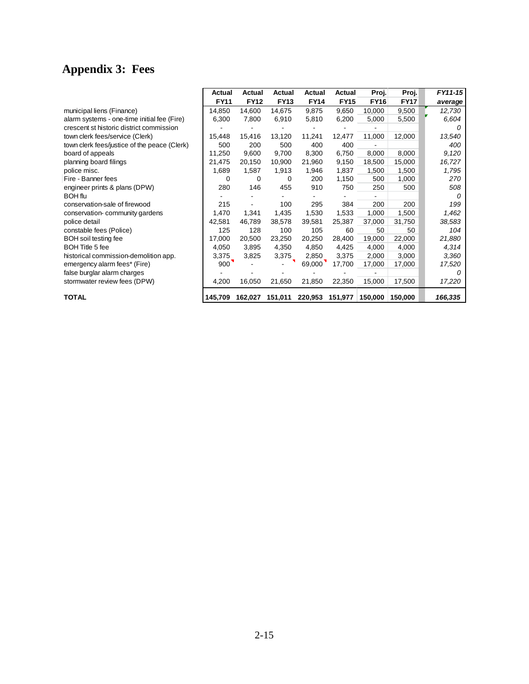# **Appendix 3: Fees**

|                                              | Actual      | Actual      | Actual      | Actual      | Actual      | Proj.       | Proj.       | FY11-15  |
|----------------------------------------------|-------------|-------------|-------------|-------------|-------------|-------------|-------------|----------|
|                                              | <b>FY11</b> | <b>FY12</b> | <b>FY13</b> | <b>FY14</b> | <b>FY15</b> | <b>FY16</b> | <b>FY17</b> | average  |
| municipal liens (Finance)                    | 14,850      | 14,600      | 14,675      | 9,875       | 9,650       | 10,000      | 9,500       | 12,730   |
| alarm systems - one-time initial fee (Fire)  | 6,300       | 7,800       | 6,910       | 5,810       | 6,200       | 5,000       | 5,500       | 6,604    |
| crescent st historic district commission     |             |             |             |             |             |             |             |          |
| town clerk fees/service (Clerk)              | 15,448      | 15,416      | 13,120      | 11,241      | 12,477      | 11,000      | 12,000      | 13,540   |
| town clerk fees/justice of the peace (Clerk) | 500         | 200         | 500         | 400         | 400         |             |             | 400      |
| board of appeals                             | 11,250      | 9,600       | 9,700       | 8,300       | 6,750       | 8,000       | 8,000       | 9,120    |
| planning board filings                       | 21,475      | 20,150      | 10,900      | 21,960      | 9,150       | 18,500      | 15,000      | 16,727   |
| police misc.                                 | 1,689       | 1,587       | 1,913       | 1,946       | 1,837       | 1,500       | 1,500       | 1,795    |
| Fire - Banner fees                           | 0           | 0           | 0           | 200         | 1,150       | 500         | 1,000       | 270      |
| engineer prints & plans (DPW)                | 280         | 146         | 455         | 910         | 750         | 250         | 500         | 508      |
| <b>BOH</b> flu                               |             |             |             |             |             |             |             | n        |
| conservation-sale of firewood                | 215         |             | 100         | 295         | 384         | 200         | 200         | 199      |
| conservation-community gardens               | 1,470       | 1,341       | 1,435       | 1,530       | 1,533       | 1,000       | 1,500       | 1,462    |
| police detail                                | 42,581      | 46,789      | 38,578      | 39,581      | 25,387      | 37,000      | 31,750      | 38,583   |
| constable fees (Police)                      | 125         | 128         | 100         | 105         | 60          | 50          | 50          | 104      |
| <b>BOH</b> soil testing fee                  | 17,000      | 20,500      | 23,250      | 20,250      | 28,400      | 19,000      | 22,000      | 21,880   |
| <b>BOH Title 5 fee</b>                       | 4,050       | 3,895       | 4,350       | 4,850       | 4,425       | 4,000       | 4,000       | 4,314    |
| historical commission-demolition app.        | 3,375       | 3,825       | 3,375       | 2,850       | 3,375       | 2,000       | 3,000       | 3,360    |
| emergency alarm fees* (Fire)                 | 900         |             |             | 69,000      | 17,700      | 17,000      | 17,000      | 17,520   |
| false burglar alarm charges                  |             |             |             |             |             |             |             | $\theta$ |
| stormwater review fees (DPW)                 | 4,200       | 16,050      | 21,650      | 21,850      | 22,350      | 15,000      | 17,500      | 17,220   |
| <b>TOTAL</b>                                 | 145,709     | 162,027     | 151,011     | 220,953     | 151,977     | 150,000     | 150.000     | 166,335  |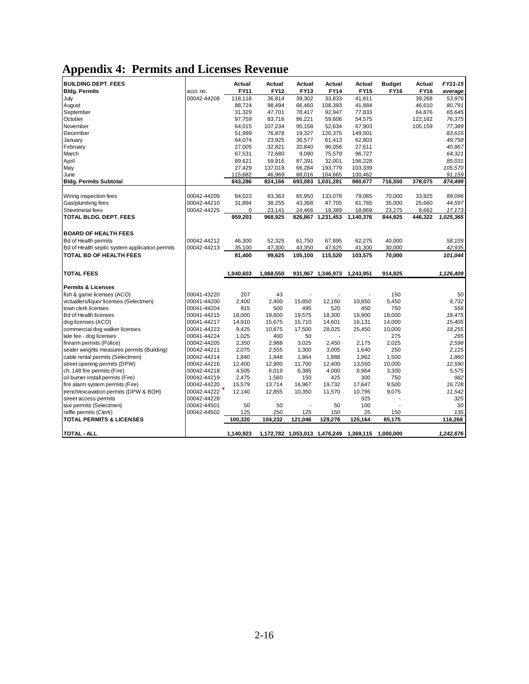### **Appendix 4: Permits and Licenses Revenue**

| <b>BUILDING DEPT. FEES</b><br><b>Bldg. Permits</b> | acct. no.                  | Actual<br>FY11 | Actual<br>FY12   | Actual<br><b>FY13</b> | Actual<br><b>FY14</b> | Actual<br><b>FY15</b>                             | <b>Budget</b><br>FY16 | Actual<br><b>FY16</b> | FY11-15<br>average |
|----------------------------------------------------|----------------------------|----------------|------------------|-----------------------|-----------------------|---------------------------------------------------|-----------------------|-----------------------|--------------------|
| July                                               | 00042-44208                | 118,118        | 36.814           | 39.302                | 33.833                | 41.811                                            |                       | 39.268                | 53.976             |
| August                                             |                            | 88,724         | 98,494           | 66,460                | 108,393               | 41,884                                            |                       | 46,610                | 80,791             |
| September                                          |                            | 31,329         | 47,701           | 78,417                | 92,947                | 77,833                                            |                       | 64,876                | 65,645             |
| October                                            |                            | 97,759         | 83,716           | 86,221                | 59,606                | 54,575                                            |                       | 122,162               | 76,375             |
| November                                           |                            | 64,015         | 107,234          | 95,158                | 52,634                | 67,903                                            |                       | 105,159               | 77,389             |
| December                                           |                            | 51,999         | 76,878           | 19,327                | 120,375               | 149,501                                           |                       |                       | 83,616             |
| January                                            |                            | 64,074         | 23,925           | 36,577                | 61,413                | 62,803                                            |                       |                       | 49,758             |
| February                                           |                            | 27,005         | 32,821           | 20.840                | 96,056                | 27,611                                            |                       |                       | 40,867             |
| March                                              |                            | 67,531         | 72,680           | 9,090                 | 75,579                | 96,727                                            |                       |                       | 64,321             |
| April                                              |                            | 89,621         | 59,916           | 87,391                | 32,001                | 156,228                                           |                       |                       | 85,031             |
| May                                                |                            | 27,429         | 137,018          | 66,284                | 193,779               | 103,339                                           |                       |                       | 105,570            |
| June                                               |                            | 115,682        | 46,969           | 88,016                | 104,665               | 100,462                                           |                       |                       | 91,159             |
| <b>Bldg. Permits Subtotal</b>                      |                            | 843,286        | 824,166          | 693,083               | 1,031,281             | 980,677                                           | 716,550               | 378,075               | 874,499            |
|                                                    |                            |                |                  |                       |                       |                                                   |                       |                       |                    |
| Wiring inspection fees                             | 00042-44209                | 84,023         | 83,363           | 65,950                | 133,078               | 79,065                                            | 70,000                | 33,925                | 89,096             |
|                                                    |                            |                |                  |                       |                       |                                                   |                       |                       |                    |
| Gas/plumbing fees<br>Sheetmetal fees               | 00042-44210<br>00042-44225 | 31,894<br>0    | 38,255<br>23,141 | 43,368<br>24,466      | 47,705<br>19,389      | 61,765<br>18,869                                  | 35,000<br>23,275      | 25,660<br>8,662       | 44,597             |
| TOTAL BLDG. DEPT. FEES                             |                            | 959,203        | 968,925          |                       | 826,867 1,231,453     | 1,140,376                                         | 844,825               |                       | 17,173             |
|                                                    |                            |                |                  |                       |                       |                                                   |                       | 446,322               | 1,025,365          |
|                                                    |                            |                |                  |                       |                       |                                                   |                       |                       |                    |
| <b>BOARD OF HEALTH FEES</b>                        |                            |                |                  |                       |                       |                                                   |                       |                       |                    |
| <b>Bd of Health permits</b>                        | 00042-44212                | 46,300         | 52,325           | 61,750                | 67,895                | 62,275                                            | 40,000                |                       | 58,109             |
| Bd of Health septic system application permits     | 00042-44213                | 35,100         | 47,300           | 43,350                | 47,625                | 41,300                                            | 30,000                |                       | 42,935             |
| TOTAL BD OF HEALTH FEES                            |                            | 81,400         | 99,625           | 105,100               | 115,520               | 103,575                                           | 70,000                |                       | 101,044            |
|                                                    |                            |                |                  |                       |                       |                                                   |                       |                       |                    |
| <b>TOTAL FEES</b>                                  |                            | 1,040,603      | 1,068,550        |                       | 931,967 1,346,973     | 1,243,951                                         | 914,825               |                       | 1,126,409          |
|                                                    |                            |                |                  |                       |                       |                                                   |                       |                       |                    |
| <b>Permits &amp; Licenses</b>                      |                            |                |                  |                       |                       |                                                   |                       |                       |                    |
| fish & game licenses (ACO)                         | 00041-43220                | 207            | 43               |                       |                       |                                                   | 150                   |                       | 50                 |
| victuallers/liquor licenses (Selectmen)            | 00041-44200                | 2,400          | 2,400            | 15,850                | 12,160                | 10,850                                            | 5,450                 |                       | 8,732              |
| town clerk licenses                                | 00041-44204                | 815            | 500              | 495                   | 520                   | 450                                               | 750                   |                       | 556                |
| <b>Bd of Health licenses</b>                       | 00041-44215                | 18,000         | 19,600           | 19,575                | 18,300                | 16,900                                            | 18,000                |                       | 18,475             |
| dog licenses (ACO)                                 | 00041-44217                | 14,910         | 15,675           | 15,710                | 14,601                | 16,131                                            | 14,000                |                       | 15,405             |
| commercial dog walker licenses                     | 00041-44223                | 9,425          | 10,875           | 17,500                | 28,025                | 25,450                                            | 10,000                |                       | 18,255             |
| late fee - dog licenses                            | 00041-44224                | 1,025          | 400              | 50                    |                       |                                                   | 275                   |                       | 295                |
| firearm permits (Police)                           | 00042-44205                | 2,350          | 2,988            | 3,025                 | 2,450                 | 2,175                                             | 2,025                 |                       | 2,598              |
| sealer weights measures permits (Building)         | 00042-44211                | 2,075          | 2,555            | 1,300                 | 3,005                 | 1,640                                             | 250                   |                       | 2,115              |
| cable rental permits (Selectmen)                   | 00042-44214                | 1,840          | 1,848            | 1,864                 | 1,888                 | 1,862                                             | 1,500                 |                       | 1,860              |
| street opening permits (DPW)                       | 00042-44216                | 12,400         | 12,900           | 11,700                | 12,400                | 13,550                                            | 10,000                |                       | 12,590             |
| ch. 148 fire permits (Fire)                        | 00042-44218                | 4,505          | 6,019            | 6,385                 | 4,000                 | 6,964                                             | 3,300                 |                       | 5,575              |
| oil burner install permits (Fire)                  | 00042-44219                | 2,475          | 1,560            | 150                   | 425                   | 300                                               | 750                   |                       | 982                |
| fire alarm system permits (Fire)                   | 00042-44220                | 15,579         | 13,714           | 16,967                | 19,732                | 17,647                                            | 9,500                 |                       | 16,728             |
| trench/excavation permits (DPW & BOH)              | 00042-44222                | 12,140         | 12,855           | 10,350                | 11,570                | 10,795                                            | 9,075                 |                       | 11,542             |
| street access permits                              | 00042-44228                |                |                  |                       |                       | 325                                               |                       |                       | 325                |
| taxi permits (Selectmen)                           | 00042-44501                | 50             | 50               |                       | 50                    | 100                                               |                       |                       | 50                 |
| raffle permits (Clerk)                             | 00042-44502                | 125            | 250              | 125                   | 150                   | 25                                                | 150                   |                       | 135                |
| <b>TOTAL PERMITS &amp; LICENSES</b>                |                            | 100,320        | 104.232          | 121.046               | 129,276               | 125,164                                           | 85.175                |                       | 116.268            |
| <b>TOTAL - ALL</b>                                 |                            | 1,140,923      |                  |                       |                       | 1,172,782 1,053,013 1,476,249 1,369,115 1,000,000 |                       |                       | 1,242,676          |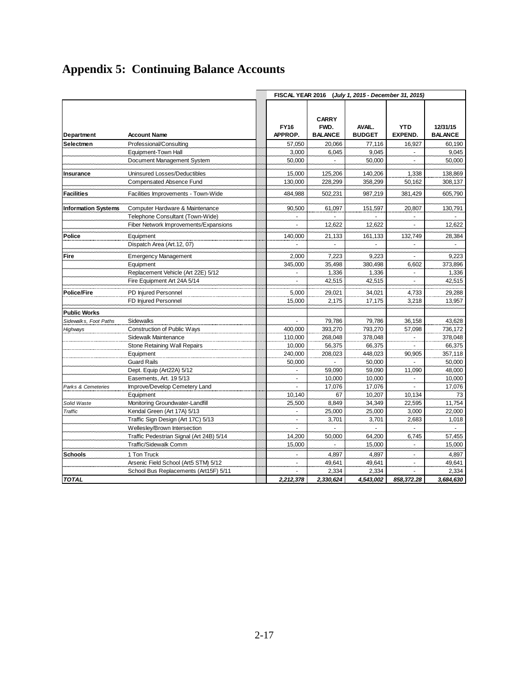|                            |                                                                    | FISCAL YEAR 2016<br>(July 1, 2015 - December 31, 2015) |                                        |                         |                              |                            |  |
|----------------------------|--------------------------------------------------------------------|--------------------------------------------------------|----------------------------------------|-------------------------|------------------------------|----------------------------|--|
| Department                 | <b>Account Name</b>                                                | <b>FY16</b><br>APPROP.                                 | <b>CARRY</b><br>FWD.<br><b>BALANCE</b> | AVAIL.<br><b>BUDGET</b> | <b>YTD</b><br><b>EXPEND.</b> | 12/31/15<br><b>BALANCE</b> |  |
| Selectmen                  | Professional/Consulting                                            | 57,050                                                 | 20,066                                 | 77,116                  | 16,927                       | 60,190                     |  |
|                            | Equipment-Town Hall                                                | 3,000                                                  | 6,045                                  | 9,045                   | $\sim$                       | 9,045                      |  |
|                            | Document Management System                                         | 50,000                                                 |                                        | 50,000                  | ä,                           | 50,000                     |  |
| <b>Insurance</b>           | Uninsured Losses/Deductibles                                       | 15,000                                                 | 125,206                                | 140,206                 | 1,338                        | 138,869                    |  |
|                            | Compensated Absence Fund                                           | 130,000                                                | 228,299                                | 358,299                 | 50,162                       | 308,137                    |  |
| <b>Facilities</b>          | Facilities Improvements - Town-Wide                                | 484,988                                                | 502,231                                | 987,219                 | 381,429                      | 605,790                    |  |
| <b>Information Systems</b> | Computer Hardware & Maintenance                                    | 90,500                                                 | 61,097                                 | 151,597                 | 20,807                       | 130,791                    |  |
|                            | Telephone Consultant (Town-Wide)                                   |                                                        |                                        |                         |                              |                            |  |
|                            | Fiber Network Improvements/Expansions                              |                                                        | 12,622                                 | 12,622                  |                              | 12,622                     |  |
| Police                     | Equipment                                                          | 140,000                                                | 21,133                                 | 161,133                 | 132,749                      | 28,384                     |  |
|                            | Dispatch Area (Art.12, 07)                                         |                                                        | ÷.                                     | ä,                      | ×.                           | ×.                         |  |
| <b>Fire</b>                | <b>Emergency Management</b>                                        | 2,000                                                  | 7,223                                  | 9,223                   |                              | 9,223                      |  |
|                            | Equipment                                                          | 345,000                                                | 35,498                                 | 380.498                 | 6,602                        | 373,896                    |  |
|                            | Replacement Vehicle (Art 22E) 5/12                                 |                                                        | 1,336                                  | 1,336                   | $\tilde{\phantom{a}}$        | 1,336                      |  |
|                            | Fire Equipment Art 24A 5/14                                        | $\sim$                                                 | 42,515                                 | 42,515                  | $\blacksquare$               | 42,515                     |  |
| <b>Police/Fire</b>         | PD Injured Personnel                                               | 5,000                                                  | 29,021                                 | 34,021                  | 4,733                        | 29,288                     |  |
|                            | FD Injured Personnel                                               | 15,000                                                 | 2,175                                  | 17,175                  | 3,218                        | 13,957                     |  |
| <b>Public Works</b>        |                                                                    |                                                        |                                        |                         |                              |                            |  |
| Sidewalks, Foot Paths      | Sidewalks                                                          |                                                        | 79,786                                 | 79,786                  | 36,158                       | 43,628                     |  |
| Highways                   | Construction of Public Ways                                        | 400,000                                                | 393,270                                | 793,270                 | 57,098                       | 736,172                    |  |
|                            | Sidewalk Maintenance                                               | 110,000                                                | 268,048                                | 378,048                 | ÷.                           | 378,048                    |  |
|                            | Stone Retaining Wall Repairs                                       | 10,000                                                 | 56,375                                 | 66,375                  |                              | 66,375                     |  |
|                            | Equipment                                                          | 240,000                                                | 208,023                                | 448,023                 | 90,905                       | 357,118                    |  |
|                            | <b>Guard Rails</b>                                                 | 50,000                                                 |                                        | 50,000                  |                              | 50,000                     |  |
|                            | Dept. Equip (Art22A) 5/12                                          | $\omega$                                               | 59,090                                 | 59,090                  | 11,090                       | 48,000                     |  |
|                            | Easements, Art. 19 5/13                                            |                                                        | 10,000                                 | 10,000                  |                              | 10,000                     |  |
| Parks & Cemeteries         | Improve/Develop Cemetery Land                                      | ä,                                                     | 17.076                                 | 17,076                  | ×.                           | 17,076                     |  |
|                            | Equipment                                                          | 10,140                                                 | 67                                     | 10,207                  | 10,134                       | 73                         |  |
| Solid Waste                | Monitoring Groundwater-Landfill                                    | 25,500                                                 | 8,849                                  | 34,349                  | 22,595                       | 11,754                     |  |
| Traffic                    | Kendal Green (Art 17A) 5/13                                        |                                                        | 25,000<br>3,701                        | 25,000<br>3,701         | 3,000<br>2,683               | 22,000<br>1,018            |  |
|                            | Traffic Sign Design (Art 17C) 5/13<br>Wellesley/Brown Intersection |                                                        | L.                                     |                         | L.                           | ä,                         |  |
|                            | Traffic Pedestrian Signal (Art 24B) 5/14                           | 14,200                                                 | 50,000                                 | 64,200                  | 6,745                        | 57,455                     |  |
|                            | Traffic/Sidewalk Comm                                              | 15,000                                                 |                                        | 15,000                  | $\mathbf{r}$                 | 15,000                     |  |
| <b>Schools</b>             | 1 Ton Truck                                                        |                                                        |                                        | 4,897                   |                              | 4,897                      |  |
|                            | Arsenic Field School (Art5 STM) 5/12                               |                                                        | 4,897<br>49,641                        | 49,641                  | $\blacksquare$<br>÷.         | 49,641                     |  |
|                            | School Bus Replacements (Art15F) 5/11                              | $\sim$                                                 | 2,334                                  | 2,334                   | ÷.                           | 2,334                      |  |
| <b>TOTAL</b>               |                                                                    | 2.212.378                                              | 2,330,624                              | 4,543,002               | 858,372.28                   | 3,684,630                  |  |

# **Appendix 5: Continuing Balance Accounts**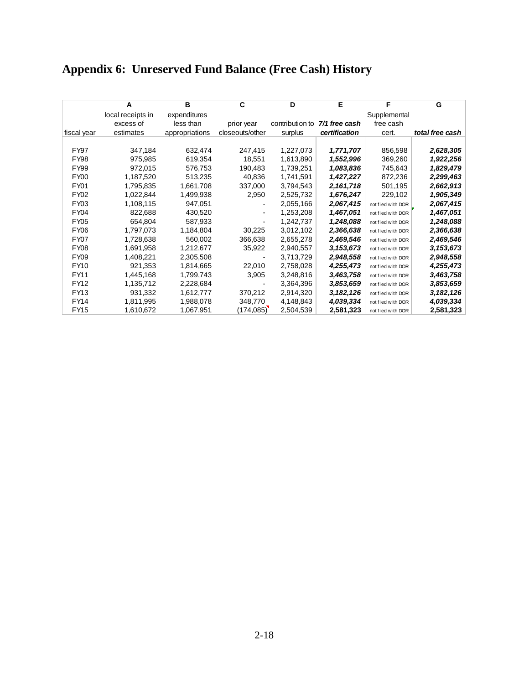### **Appendix 6: Unreserved Fund Balance (Free Cash) History**

|                  | A                 | в              | C               | D               | E             | F                  | G               |
|------------------|-------------------|----------------|-----------------|-----------------|---------------|--------------------|-----------------|
|                  | local receipts in | expenditures   |                 |                 |               | Supplemental       |                 |
|                  | excess of         | less than      | prior year      | contribution to | 7/1 free cash | free cash          |                 |
| fiscal year      | estimates         | appropriations | closeouts/other | surplus         | certification | cert.              | total free cash |
|                  |                   |                |                 |                 |               |                    |                 |
| <b>FY97</b>      | 347,184           | 632,474        | 247,415         | 1,227,073       | 1,771,707     | 856,598            | 2,628,305       |
| FY98             | 975,985           | 619,354        | 18,551          | 1,613,890       | 1,552,996     | 369,260            | 1,922,256       |
| FY99             | 972,015           | 576,753        | 190,483         | 1,739,251       | 1,083,836     | 745,643            | 1,829,479       |
| FY <sub>00</sub> | 1,187,520         | 513,235        | 40,836          | 1,741,591       | 1,427,227     | 872,236            | 2,299,463       |
| FY01             | 1,795,835         | 1,661,708      | 337,000         | 3,794,543       | 2,161,718     | 501,195            | 2,662,913       |
| <b>FY02</b>      | 1,022,844         | 1,499,938      | 2,950           | 2,525,732       | 1,676,247     | 229,102            | 1,905,349       |
| FY03             | 1,108,115         | 947,051        |                 | 2,055,166       | 2,067,415     | not filed with DOR | 2,067,415       |
| <b>FY04</b>      | 822,688           | 430,520        |                 | 1,253,208       | 1,467,051     | not filed with DOR | 1,467,051       |
| FY05             | 654,804           | 587,933        |                 | 1,242,737       | 1,248,088     | not filed with DOR | 1,248,088       |
| <b>FY06</b>      | 1,797,073         | 1,184,804      | 30,225          | 3,012,102       | 2,366,638     | not filed with DOR | 2,366,638       |
| <b>FY07</b>      | 1,728,638         | 560,002        | 366,638         | 2,655,278       | 2,469,546     | not filed with DOR | 2,469,546       |
| <b>FY08</b>      | 1,691,958         | 1,212,677      | 35,922          | 2,940,557       | 3,153,673     | not filed with DOR | 3,153,673       |
| <b>FY09</b>      | 1,408,221         | 2,305,508      |                 | 3,713,729       | 2,948,558     | not filed with DOR | 2,948,558       |
| <b>FY10</b>      | 921.353           | 1,814,665      | 22,010          | 2,758,028       | 4,255,473     | not filed with DOR | 4,255,473       |
| FY11             | 1,445,168         | 1,799,743      | 3,905           | 3,248,816       | 3,463,758     | not filed with DOR | 3,463,758       |
| <b>FY12</b>      | 1,135,712         | 2,228,684      |                 | 3,364,396       | 3,853,659     | not filed with DOR | 3,853,659       |
| FY13             | 931,332           | 1,612,777      | 370,212         | 2,914,320       | 3,182,126     | not filed with DOR | 3,182,126       |
| FY14             | 1,811,995         | 1,988,078      | 348,770         | 4,148,843       | 4,039,334     | not filed with DOR | 4,039,334       |
| FY15             | 1,610,672         | 1,067,951      | (174, 085)      | 2,504,539       | 2,581,323     | not filed with DOR | 2,581,323       |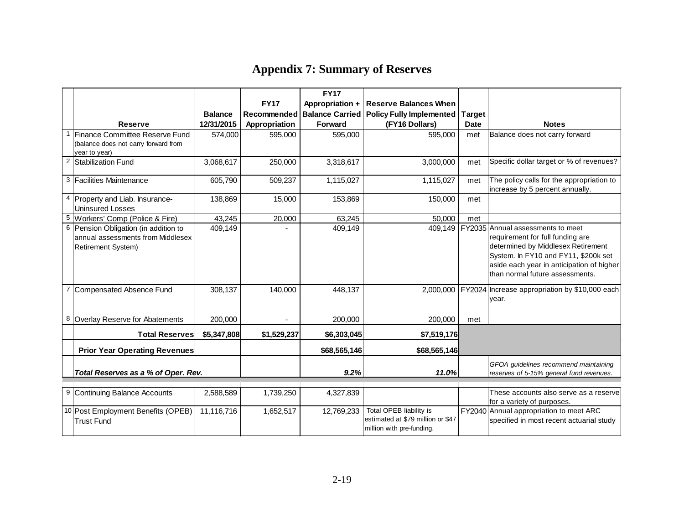### **Appendix 7: Summary of Reserves**

|                                     |                                                            |                |                    | <b>FY17</b>            |                                                              |                                          |                                                          |
|-------------------------------------|------------------------------------------------------------|----------------|--------------------|------------------------|--------------------------------------------------------------|------------------------------------------|----------------------------------------------------------|
|                                     |                                                            |                | <b>FY17</b>        | Appropriation +        | <b>Reserve Balances When</b>                                 |                                          |                                                          |
|                                     |                                                            | <b>Balance</b> | <b>Recommended</b> | <b>Balance Carried</b> | <b>Policy Fully Implemented</b>                              | <b>Target</b>                            |                                                          |
|                                     | <b>Reserve</b>                                             | 12/31/2015     | Appropriation      | <b>Forward</b>         | (FY16 Dollars)                                               | <b>Date</b>                              | <b>Notes</b>                                             |
|                                     | Finance Committee Reserve Fund                             | 574,000        | 595,000            | 595,000                | 595,000                                                      | met                                      | Balance does not carry forward                           |
|                                     | (balance does not carry forward from                       |                |                    |                        |                                                              |                                          |                                                          |
|                                     | year to year)                                              |                |                    |                        |                                                              |                                          |                                                          |
|                                     | $\overline{2}$<br>Stabilization Fund                       | 3,068,617      | 250,000            | 3,318,617              | 3,000,000                                                    | met                                      | Specific dollar target or % of revenues?                 |
|                                     | 3 Facilities Maintenance                                   | 605,790        | 509,237            | 1,115,027              | 1,115,027                                                    | met                                      | The policy calls for the appropriation to                |
|                                     |                                                            |                |                    |                        |                                                              |                                          | increase by 5 percent annually.                          |
|                                     | 4 Property and Liab. Insurance-<br><b>Uninsured Losses</b> | 138,869        | 15,000             | 153,869                | 150,000                                                      | met                                      |                                                          |
| 5                                   | Workers' Comp (Police & Fire)                              | 43,245         | 20,000             | 63,245                 | 50,000                                                       | met                                      |                                                          |
|                                     | 6<br>Pension Obligation (in addition to                    | 409,149        |                    | 409,149                |                                                              |                                          | 409,149   FY2035 Annual assessments to meet              |
|                                     | annual assessments from Middlesex                          |                |                    |                        |                                                              |                                          | requirement for full funding are                         |
|                                     | Retirement System)                                         |                |                    |                        |                                                              |                                          | determined by Middlesex Retirement                       |
|                                     |                                                            |                |                    |                        |                                                              |                                          | System. In FY10 and FY11, \$200k set                     |
|                                     |                                                            |                |                    |                        |                                                              |                                          | aside each year in anticipation of higher                |
|                                     |                                                            |                |                    |                        |                                                              |                                          | Ithan normal future assessments.                         |
| $\overline{7}$                      | Compensated Absence Fund                                   | 308,137        | 140,000            | 448,137                |                                                              |                                          | 2,000,000 FY2024 Increase appropriation by \$10,000 each |
|                                     |                                                            |                |                    |                        |                                                              |                                          | vear.                                                    |
|                                     |                                                            |                |                    |                        |                                                              |                                          |                                                          |
|                                     | 8<br>Overlay Reserve for Abatements                        | 200,000        |                    | 200,000                | 200,000                                                      | met                                      |                                                          |
|                                     | <b>Total Reserves</b>                                      | \$5,347,808    | \$1,529,237        | \$6,303,045            | \$7,519,176                                                  |                                          |                                                          |
|                                     | <b>Prior Year Operating Revenues</b>                       |                |                    | \$68,565,146           | \$68,565,146                                                 |                                          |                                                          |
|                                     |                                                            |                |                    |                        |                                                              | GFOA guidelines recommend maintaining    |                                                          |
| Total Reserves as a % of Oper. Rev. |                                                            |                | 9.2%               | 11.0%                  |                                                              | reserves of 5-15% general fund revenues. |                                                          |
|                                     |                                                            |                |                    |                        |                                                              |                                          |                                                          |
|                                     | 9 Continuing Balance Accounts                              | 2,588,589      | 1,739,250          | 4,327,839              |                                                              |                                          | These accounts also serve as a reserve                   |
|                                     |                                                            |                |                    |                        |                                                              |                                          | for a variety of purposes.                               |
|                                     | 10 Post Employment Benefits (OPEB)                         | 11,116,716     | 1,652,517          | 12,769,233             | Total OPEB liability is<br>estimated at \$79 million or \$47 |                                          | FY2040 Annual appropriation to meet ARC                  |
|                                     | <b>Trust Fund</b>                                          |                |                    |                        | million with pre-funding.                                    |                                          | specified in most recent actuarial study                 |
|                                     |                                                            |                |                    |                        |                                                              |                                          |                                                          |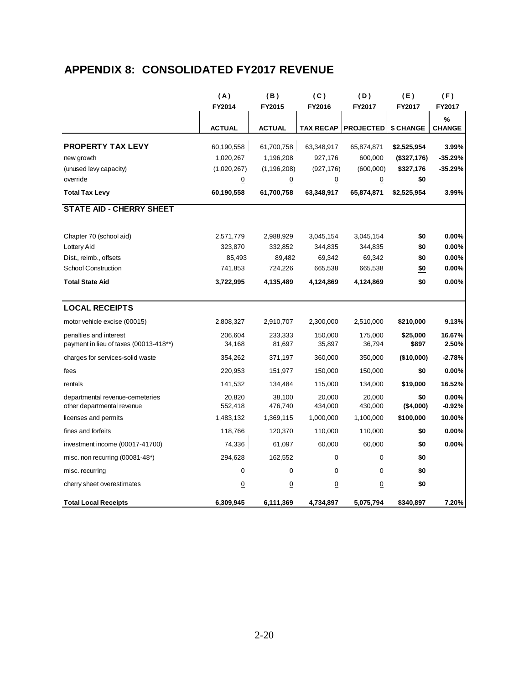### **APPENDIX 8: CONSOLIDATED FY2017 REVENUE**

|                                                                  | (A)               | (B)               | (C)               | (D)               | (E)               | (F)               |
|------------------------------------------------------------------|-------------------|-------------------|-------------------|-------------------|-------------------|-------------------|
|                                                                  | FY2014            | FY2015            | FY2016            | FY2017            | FY2017            | FY2017            |
|                                                                  |                   |                   |                   |                   |                   | %                 |
|                                                                  | <b>ACTUAL</b>     | <b>ACTUAL</b>     | <b>TAX RECAP</b>  | <b>PROJECTED</b>  | \$ CHANGE         | <b>CHANGE</b>     |
| <b>PROPERTY TAX LEVY</b>                                         | 60,190,558        | 61,700,758        | 63,348,917        | 65,874,871        | \$2,525,954       | 3.99%             |
| new growth                                                       | 1,020,267         | 1,196,208         | 927,176           | 600,000           | (\$327,176)       | $-35.29%$         |
| (unused levy capacity)                                           | (1,020,267)       | (1, 196, 208)     | (927, 176)        | (600,000)         | \$327,176         | $-35.29%$         |
| override                                                         | $\overline{0}$    | $\overline{0}$    | $\overline{0}$    | $\overline{0}$    | \$0               |                   |
| <b>Total Tax Levy</b>                                            | 60,190,558        | 61,700,758        | 63,348,917        | 65,874,871        | \$2,525,954       | 3.99%             |
| <b>STATE AID - CHERRY SHEET</b>                                  |                   |                   |                   |                   |                   |                   |
| Chapter 70 (school aid)                                          | 2,571,779         | 2,988,929         | 3,045,154         | 3,045,154         | \$0               | 0.00%             |
| Lottery Aid                                                      | 323,870           | 332,852           | 344,835           | 344,835           | \$0               | 0.00%             |
| Dist., reimb., offsets                                           | 85,493            | 89,482            | 69,342            | 69,342            | \$0               | 0.00%             |
| <b>School Construction</b>                                       | 741,853           | 724,226           | 665,538           | 665,538           | \$0               | 0.00%             |
| <b>Total State Aid</b>                                           | 3,722,995         | 4,135,489         | 4,124,869         | 4,124,869         | \$0               | 0.00%             |
| <b>LOCAL RECEIPTS</b>                                            |                   |                   |                   |                   |                   |                   |
| motor vehicle excise (00015)                                     | 2,808,327         | 2,910,707         | 2,300,000         | 2,510,000         | \$210,000         | 9.13%             |
| penalties and interest<br>payment in lieu of taxes (00013-418**) | 206,604<br>34,168 | 233,333<br>81,697 | 150,000<br>35,897 | 175,000<br>36,794 | \$25,000<br>\$897 | 16.67%<br>2.50%   |
| charges for services-solid waste                                 | 354,262           | 371,197           | 360,000           | 350,000           | (\$10,000)        | $-2.78%$          |
| fees                                                             | 220,953           | 151,977           | 150,000           | 150,000           | \$0               | $0.00\%$          |
| rentals                                                          | 141,532           | 134,484           | 115,000           | 134,000           | \$19,000          | 16.52%            |
| departmental revenue-cemeteries<br>other departmental revenue    | 20,820<br>552,418 | 38,100<br>476,740 | 20,000<br>434,000 | 20,000<br>430,000 | \$0<br>(\$4,000)  | 0.00%<br>$-0.92%$ |
| licenses and permits                                             | 1,483,132         | 1,369,115         | 1,000,000         | 1,100,000         | \$100,000         | 10.00%            |
| fines and forfeits                                               | 118,766           | 120,370           | 110,000           | 110,000           | \$0               | 0.00%             |
| investment income (00017-41700)                                  | 74,336            | 61,097            | 60,000            | 60,000            | \$0               | 0.00%             |
| misc. non recurring (00081-48*)                                  | 294,628           | 162,552           | 0                 | 0                 | \$0               |                   |
| misc. recurring                                                  | 0                 | $\mathbf 0$       | 0                 | 0                 | \$0               |                   |
| cherry sheet overestimates                                       | $\overline{0}$    | $\overline{0}$    | $\overline{0}$    | 0                 | \$0               |                   |
| <b>Total Local Receipts</b>                                      | 6,309,945         | 6,111,369         | 4,734,897         | 5,075,794         | \$340,897         | 7.20%             |